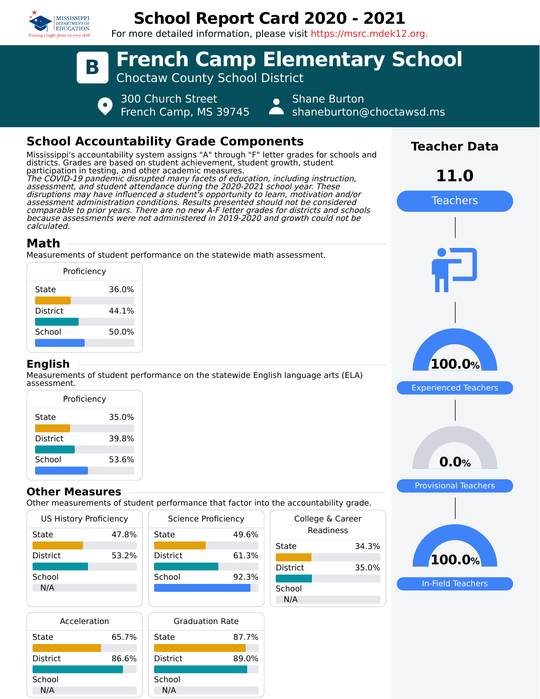

# **School Report Card 2020 - 2021**

For more detailed information, please visit https://msrc.mdek12.org.



## **School Accountability Grade Components**

Mississippi's accountability system assigns "A" through "F" letter grades for schools and districts. Grades are based on student achievement, student growth, student participation in testing, and other academic measures. The COVID-19 pandemic disrupted many facets of education, including instruction, assessment, and student attendance during the 2020-2021 school year. These disruptions may have influenced a student's opportunity to learn, motivation and/or assessment administration conditions. Results presented should not be considered comparable to prior years. There are no new A-F letter grades for districts and schools because assessments were not administered in 2019-2020 and growth could not be calculated.

## **Math**

Measurements of student performance on the statewide math assessment.

|                 | Proficiency |
|-----------------|-------------|
| State           | 36.0%       |
| <b>District</b> | 44.1%       |
| School          | 50.0%       |
|                 |             |

### **English**

Measurements of student performance on the statewide English language arts (ELA) assessment.

| Proficiency     |       |
|-----------------|-------|
| State           | 35.0% |
| <b>District</b> | 39.8% |
| School          | 53.6% |
|                 |       |

### **Other Measures**

Other measurements of student performance that factor into the accountability grade.

| US History Proficiency |       | Scier           |
|------------------------|-------|-----------------|
| State                  | 47.8% | State           |
|                        |       |                 |
| District               | 53.2% | <b>District</b> |
|                        |       |                 |
| School                 |       | School          |
| N/A                    |       |                 |
|                        |       |                 |
|                        |       |                 |

| Science Proficiency |       |
|---------------------|-------|
| State               | 49.6% |
| <b>District</b>     | 61.3% |
| School              | 92.3% |
|                     |       |

| Acceleration    |       |   |
|-----------------|-------|---|
| State           | 65.7% | S |
| <b>District</b> | 86.6% | Γ |
| School          |       | S |
| N/A             |       |   |



|                 | $rac{1}{2}$                   |
|-----------------|-------------------------------|
|                 | College & Career<br>Readiness |
| State           | 34.3%                         |
| <b>District</b> | 35.0%                         |
| School<br>N/A   |                               |



**Teacher Data**

**11.0**

Teachers